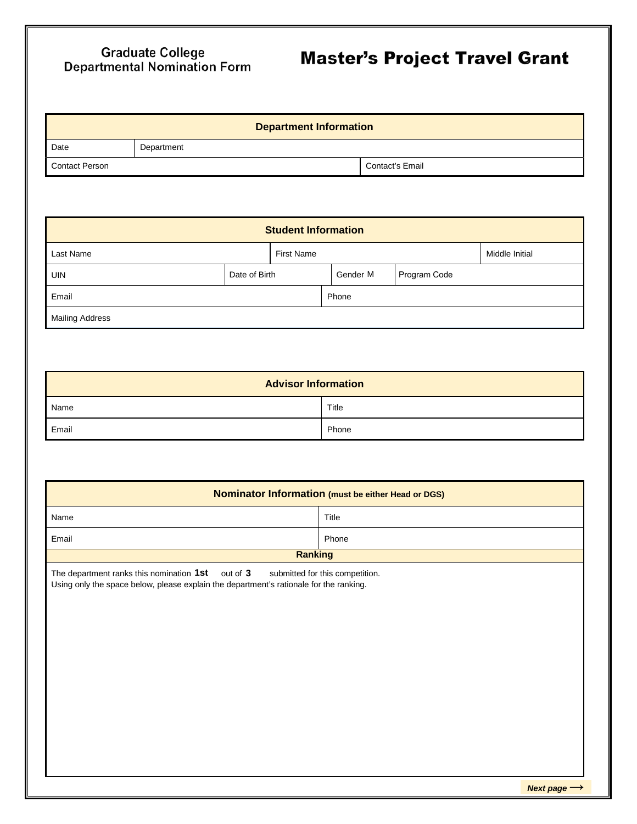## Graduate College<br>Departmental Nomination Form

## **Master's Project Travel Grant**

| Department Information |            |                 |  |  |
|------------------------|------------|-----------------|--|--|
| Date                   | Department |                 |  |  |
| <b>Contact Person</b>  |            | Contact's Email |  |  |

| <b>Student Information</b> |               |                   |  |          |                |  |
|----------------------------|---------------|-------------------|--|----------|----------------|--|
| Last Name                  |               | <b>First Name</b> |  |          | Middle Initial |  |
| <b>UIN</b>                 | Date of Birth |                   |  | Gender M | Program Code   |  |
| Email                      |               |                   |  | Phone    |                |  |
| <b>Mailing Address</b>     |               |                   |  |          |                |  |

| <b>Advisor Information</b> |       |  |  |
|----------------------------|-------|--|--|
| Name                       | Title |  |  |
| Email                      | Phone |  |  |

| Nominator Information (must be either Head or DGS)                                                                                                                                |       |  |  |  |  |
|-----------------------------------------------------------------------------------------------------------------------------------------------------------------------------------|-------|--|--|--|--|
| Name                                                                                                                                                                              | Title |  |  |  |  |
| Email                                                                                                                                                                             | Phone |  |  |  |  |
| <b>Ranking</b>                                                                                                                                                                    |       |  |  |  |  |
| The department ranks this nomination 1st<br>out of 3<br>submitted for this competition.<br>Using only the space below, please explain the department's rationale for the ranking. |       |  |  |  |  |